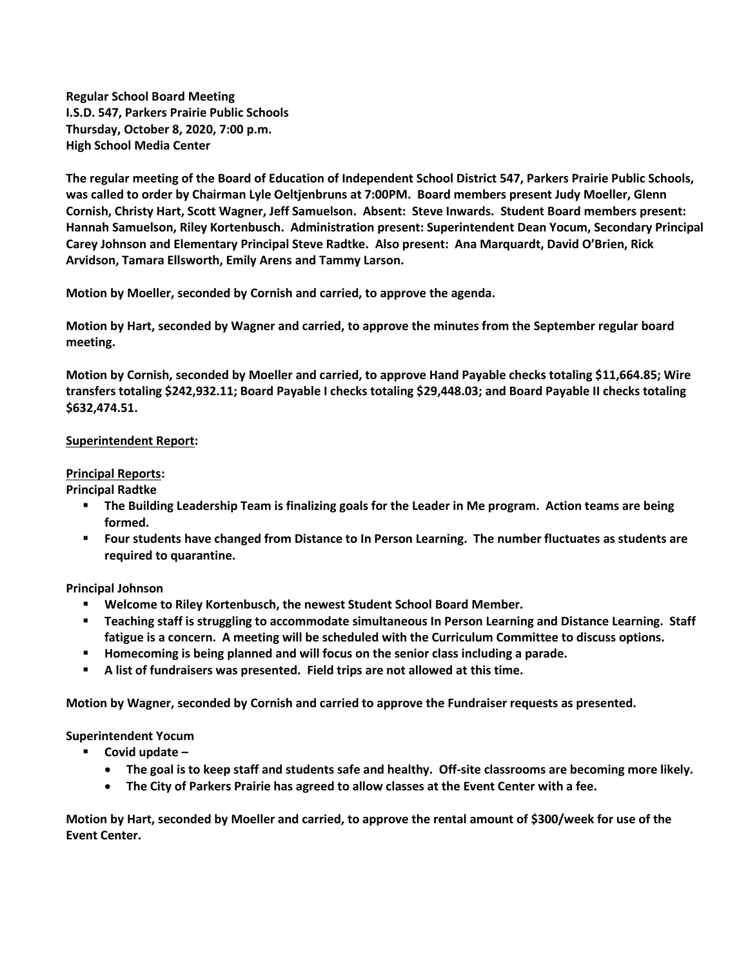**Regular School Board Meeting I.S.D. 547, Parkers Prairie Public Schools Thursday, October 8, 2020, 7:00 p.m. High School Media Center**

**The regular meeting of the Board of Education of Independent School District 547, Parkers Prairie Public Schools, was called to order by Chairman Lyle Oeltjenbruns at 7:00PM. Board members present Judy Moeller, Glenn Cornish, Christy Hart, Scott Wagner, Jeff Samuelson. Absent: Steve Inwards. Student Board members present: Hannah Samuelson, Riley Kortenbusch. Administration present: Superintendent Dean Yocum, Secondary Principal Carey Johnson and Elementary Principal Steve Radtke. Also present: Ana Marquardt, David O'Brien, Rick Arvidson, Tamara Ellsworth, Emily Arens and Tammy Larson.**

**Motion by Moeller, seconded by Cornish and carried, to approve the agenda.**

**Motion by Hart, seconded by Wagner and carried, to approve the minutes from the September regular board meeting.**

**Motion by Cornish, seconded by Moeller and carried, to approve Hand Payable checks totaling \$11,664.85; Wire transfers totaling \$242,932.11; Board Payable I checks totaling \$29,448.03; and Board Payable II checks totaling \$632,474.51.** 

## **Superintendent Report:**

## **Principal Reports:**

**Principal Radtke**

- **The Building Leadership Team is finalizing goals for the Leader in Me program. Action teams are being formed.**
- **Four students have changed from Distance to In Person Learning. The number fluctuates as students are required to quarantine.**

**Principal Johnson**

- **Welcome to Riley Kortenbusch, the newest Student School Board Member.**
- **Teaching staff is struggling to accommodate simultaneous In Person Learning and Distance Learning. Staff fatigue is a concern. A meeting will be scheduled with the Curriculum Committee to discuss options.**
- **Homecoming is being planned and will focus on the senior class including a parade.**
- **A list of fundraisers was presented. Field trips are not allowed at this time.**

**Motion by Wagner, seconded by Cornish and carried to approve the Fundraiser requests as presented.**

**Superintendent Yocum**

- **Covid update –**
	- **The goal is to keep staff and students safe and healthy. Off-site classrooms are becoming more likely.**
	- **The City of Parkers Prairie has agreed to allow classes at the Event Center with a fee.**

**Motion by Hart, seconded by Moeller and carried, to approve the rental amount of \$300/week for use of the Event Center.**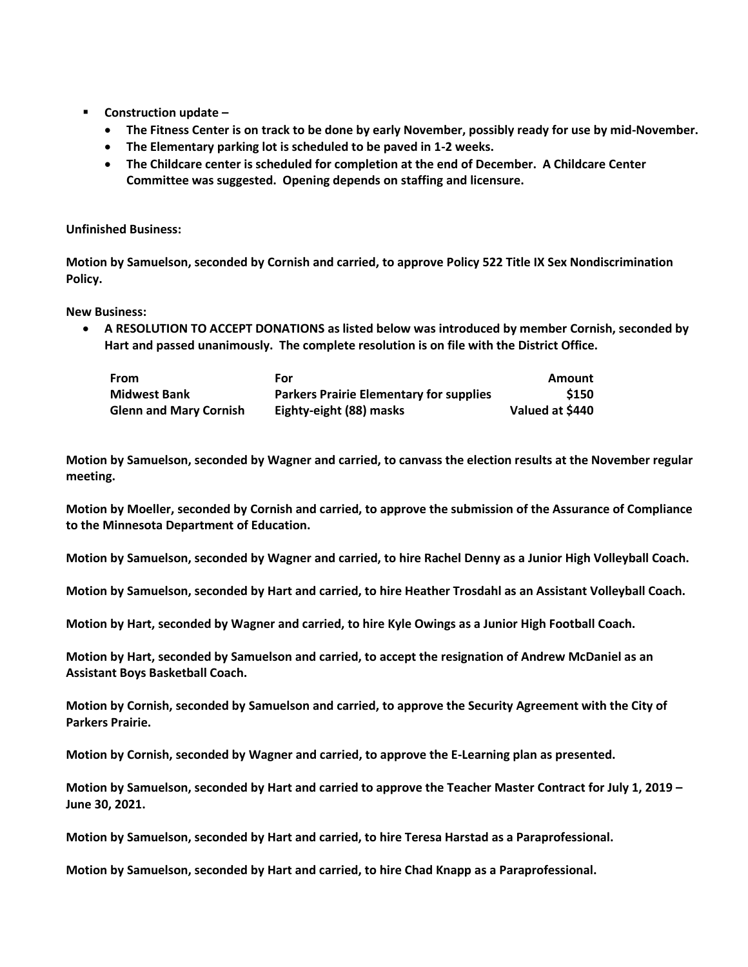- **Construction update –**
	- **The Fitness Center is on track to be done by early November, possibly ready for use by mid-November.**
	- **The Elementary parking lot is scheduled to be paved in 1-2 weeks.**
	- **The Childcare center is scheduled for completion at the end of December. A Childcare Center Committee was suggested. Opening depends on staffing and licensure.**

## **Unfinished Business:**

**Motion by Samuelson, seconded by Cornish and carried, to approve Policy 522 Title IX Sex Nondiscrimination Policy.**

**New Business:**

 **A RESOLUTION TO ACCEPT DONATIONS as listed below was introduced by member Cornish, seconded by Hart and passed unanimously. The complete resolution is on file with the District Office.** 

| From                          | For                                            | Amount          |
|-------------------------------|------------------------------------------------|-----------------|
| <b>Midwest Bank</b>           | <b>Parkers Prairie Elementary for supplies</b> | \$150           |
| <b>Glenn and Mary Cornish</b> | Eighty-eight (88) masks                        | Valued at \$440 |

**Motion by Samuelson, seconded by Wagner and carried, to canvass the election results at the November regular meeting.**

**Motion by Moeller, seconded by Cornish and carried, to approve the submission of the Assurance of Compliance to the Minnesota Department of Education.**

**Motion by Samuelson, seconded by Wagner and carried, to hire Rachel Denny as a Junior High Volleyball Coach.**

**Motion by Samuelson, seconded by Hart and carried, to hire Heather Trosdahl as an Assistant Volleyball Coach.**

**Motion by Hart, seconded by Wagner and carried, to hire Kyle Owings as a Junior High Football Coach.**

**Motion by Hart, seconded by Samuelson and carried, to accept the resignation of Andrew McDaniel as an Assistant Boys Basketball Coach.**

**Motion by Cornish, seconded by Samuelson and carried, to approve the Security Agreement with the City of Parkers Prairie.**

**Motion by Cornish, seconded by Wagner and carried, to approve the E-Learning plan as presented.**

**Motion by Samuelson, seconded by Hart and carried to approve the Teacher Master Contract for July 1, 2019 – June 30, 2021.**

**Motion by Samuelson, seconded by Hart and carried, to hire Teresa Harstad as a Paraprofessional.**

**Motion by Samuelson, seconded by Hart and carried, to hire Chad Knapp as a Paraprofessional.**